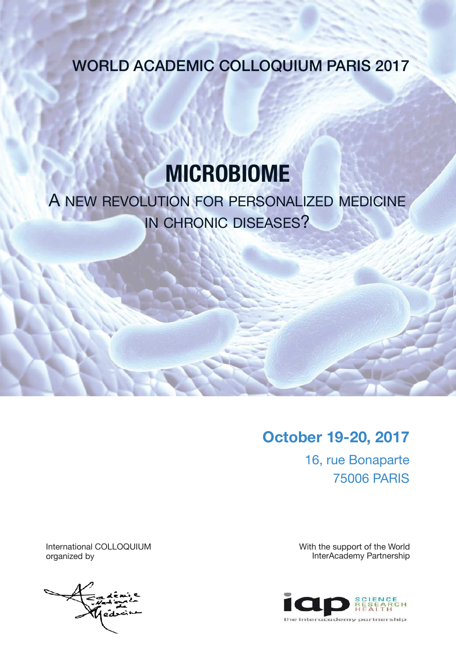## WORLD ACADEMIC COLLOQUIUM PARIS 2017

# **MICROBIOME**

## A NEW REVOLUTION FOR PERSONALIZED MEDICINE IN CHRONIC DISEASES?

### **October 19-20, 2017**

16, rue Bonaparte 75006 PARIS

International COLLOQUIUM organized by



With the support of the World InterAcademy Partnership

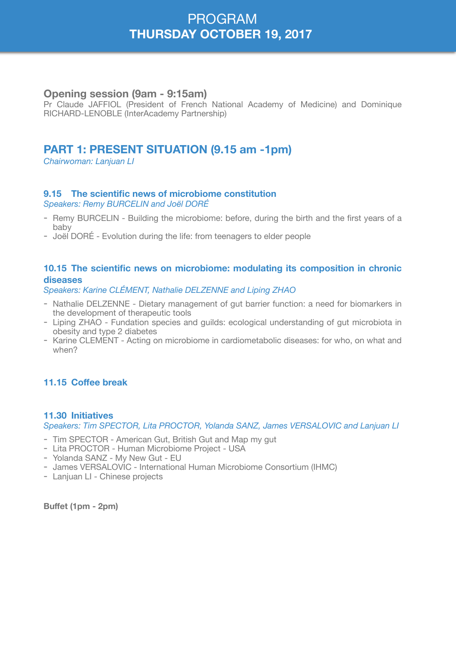### PROGRAM **THURSDAY OCTOBER 19, 2017**

#### **Opening session (9am - 9:15am)**

Pr Claude JAFFIOL (President of French National Academy of Medicine) and Dominique RICHARD-LENOBLE (InterAcademy Partnership)

#### **PART 1: PRESENT SITUATION (9.15 am -1pm)**

*Chairwoman: Lanjuan LI* 

#### **9.15 The scientific news of microbiome constitution**  *Speakers: Remy BURCELIN and Joël DORÉ*

- Remy BURCELIN Building the microbiome: before, during the birth and the first years of a baby
- Joël DORÉ Evolution during the life: from teenagers to elder people

#### **10.15 The scientific news on microbiome: modulating its composition in chronic diseases**

*Speakers: Karine CLÉMENT, Nathalie DELZENNE and Liping ZHAO* 

- Nathalie DELZENNE Dietary management of gut barrier function: a need for biomarkers in the development of therapeutic tools
- Liping ZHAO Fundation species and guilds: ecological understanding of gut microbiota in obesity and type 2 diabetes
- Karine CLEMENT Acting on microbiome in cardiometabolic diseases: for who, on what and when?

#### **11.15 Coffee break**

#### **11.30 Initiatives**

*Speakers: Tim SPECTOR, Lita PROCTOR, Yolanda SANZ, James VERSALOVIC and Lanjuan LI* 

- Tim SPECTOR American Gut, British Gut and Map my gut
- Lita PROCTOR Human Microbiome Project USA
- Yolanda SANZ My New Gut EU
- James VERSALOVIC International Human Microbiome Consortium (IHMC)
- Laniuan LI Chinese projects

**Buffet (1pm - 2pm)**